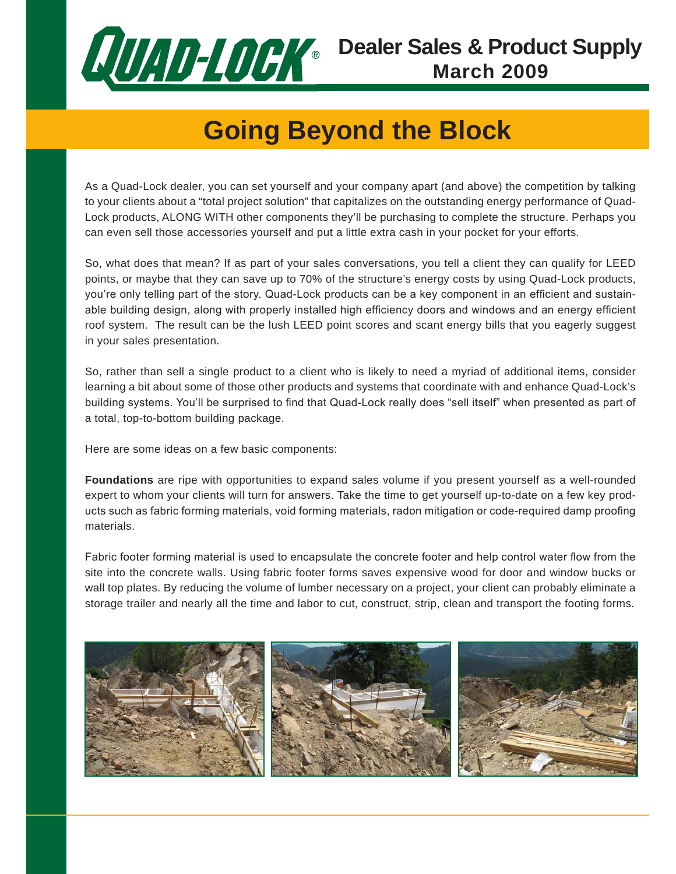

# **Going Beyond the Block**

As a Quad-Lock dealer, you can set yourself and your company apart (and above) the competition by talking to your clients about a "total project solution" that capitalizes on the outstanding energy performance of Quad-Lock products, ALONG WITH other components they'll be purchasing to complete the structure. Perhaps you can even sell those accessories yourself and put a little extra cash in your pocket for your efforts.

So, what does that mean? If as part of your sales conversations, you tell a client they can qualify for LEED points, or maybe that they can save up to 70% of the structure's energy costs by using Quad-Lock products, you're only telling part of the story. Quad-Lock products can be a key component in an efficient and sustainable building design, along with properly installed high efficiency doors and windows and an energy efficient roof system. The result can be the lush LEED point scores and scant energy bills that you eagerly suggest in your sales presentation.

So, rather than sell a single product to a client who is likely to need a myriad of additional items, consider learning a bit about some of those other products and systems that coordinate with and enhance Quad-Lock's building systems. You'll be surprised to find that Quad-Lock really does "sell itself" when presented as part of a total, top-to-bottom building package.

Here are some ideas on a few basic components:

**Foundations** are ripe with opportunities to expand sales volume if you present yourself as a well-rounded expert to whom your clients will turn for answers. Take the time to get yourself up-to-date on a few key products such as fabric forming materials, void forming materials, radon mitigation or code-required damp proofing materials.

Fabric footer forming material is used to encapsulate the concrete footer and help control water flow from the site into the concrete walls. Using fabric footer forms saves expensive wood for door and window bucks or wall top plates. By reducing the volume of lumber necessary on a project, your client can probably eliminate a storage trailer and nearly all the time and labor to cut, construct, strip, clean and transport the footing forms.

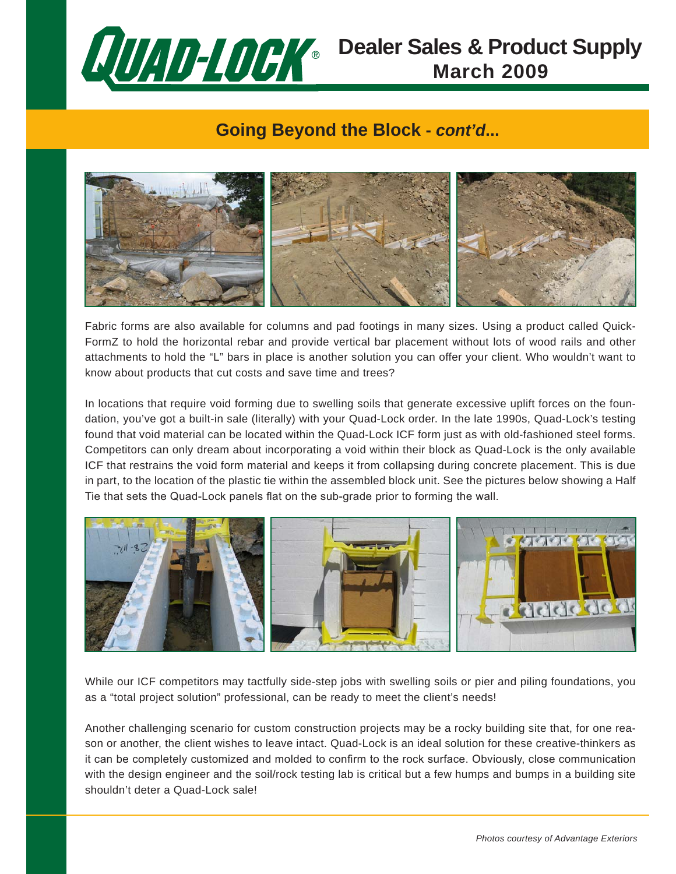

### **Dealer Sales & Product Supply March 2009**

#### **Going Beyond the Block -** *cont'd***...**



Fabric forms are also available for columns and pad footings in many sizes. Using a product called Quick-FormZ to hold the horizontal rebar and provide vertical bar placement without lots of wood rails and other attachments to hold the "L" bars in place is another solution you can offer your client. Who wouldn't want to know about products that cut costs and save time and trees?

In locations that require void forming due to swelling soils that generate excessive uplift forces on the foundation, you've got a built-in sale (literally) with your Quad-Lock order. In the late 1990s, Quad-Lock's testing found that void material can be located within the Quad-Lock ICF form just as with old-fashioned steel forms. Competitors can only dream about incorporating a void within their block as Quad-Lock is the only available ICF that restrains the void form material and keeps it from collapsing during concrete placement. This is due in part, to the location of the plastic tie within the assembled block unit. See the pictures below showing a Half Tie that sets the Quad-Lock panels flat on the sub-grade prior to forming the wall.



While our ICF competitors may tactfully side-step jobs with swelling soils or pier and piling foundations, you as a "total project solution" professional, can be ready to meet the client's needs!

Another challenging scenario for custom construction projects may be a rocky building site that, for one reason or another, the client wishes to leave intact. Quad-Lock is an ideal solution for these creative-thinkers as it can be completely customized and molded to confirm to the rock surface. Obviously, close communication with the design engineer and the soil/rock testing lab is critical but a few humps and bumps in a building site shouldn't deter a Quad-Lock sale!